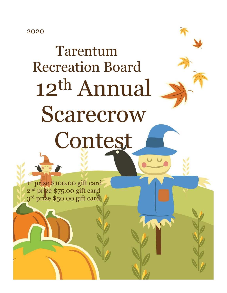2020

## Tarentum Recreation Board 12th Annual Scarecrow Contest

1 st prize \$100.00 gift card 2 nd prize \$75.00 gift card 3 rd prize \$50.00 gift card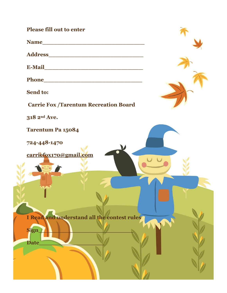**Please fill out to enter Name\_\_\_\_\_\_\_\_\_\_\_\_\_\_\_\_\_\_\_\_\_\_\_\_\_\_\_\_ Address\_\_\_\_\_\_\_\_\_\_\_\_\_\_\_\_\_\_\_\_\_\_\_\_\_\_ E-Mail\_\_\_\_\_\_\_\_\_\_\_\_\_\_\_\_\_\_\_\_\_\_\_\_\_\_\_ Phone Send to: Carrie Fox /Tarentum Recreation Board 318 2nd Ave. Tarentum Pa 15084 724-448-1470 [carriefox170@gmail.com](mailto:carriefox170@gmail.com) I Read and understand all the contest rules**  $Sign$ **Date\_\_\_\_\_\_\_\_\_\_\_\_\_\_\_\_\_\_**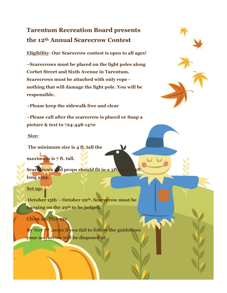## **Tarentum Recreation Board presents the 12th Annual Scarecrow Contest**

**Eligibility- Our Scarecrow contest is open to all ages!**

**~Scarecrows must be placed on the light poles along Corbet Street and Sixth Avenue in Tarentum. Scarecrows must be attached with only rope nothing that will damage the light pole. You will be responsible.**

**~Please keep the sidewalk free and clear**

**~Please call after the scarecrow is placed or Snap a picture & text to 724-448-1470**

**Size:**

**The minimum size is 4 ft. tall the**

**maximum is 7 ft. tall.** 

Scare rows and props should fit in a 3ft. **long area.** 

**Set up:**

**October 15th – October 29th. Scarecrow must be hanging on the 29th to be judged.** 

**Clean up/Pick up:**

**By Nov 7th ,2020 if you fail to follow the guidelines your scarecrow will be disposed of.**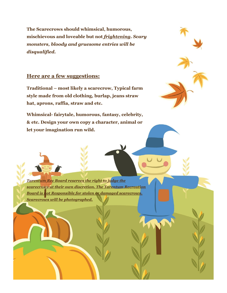**The Scarecrows should whimsical, humorous, mischievous and loveable but not** *frightening***.** *Scary monsters, bloody and gruesome entries will be disqualified.*

## **Here are a few suggestions:**

**Traditional – most likely a scarecrow, Typical farm style made from old clothing, burlap, jeans straw hat, aprons, raffia, straw and etc.** 

**Whimsical- fairytale, humorous, fantasy, celebrity, & etc. Design your own copy a character, animal or let your imagination run wild.**



*Tarentum Rec Board reserves the right to judge the scarecrows at their own discretion. The Tarentum Recreation Board is not Responsible for stolen or damaged scarecrows. Scarecrows will be photographed.*